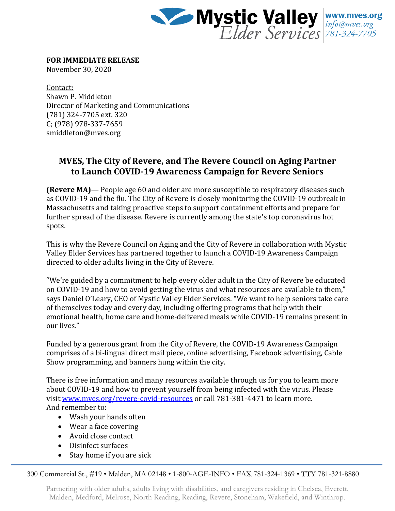

**FOR IMMEDIATE RELEASE**

November 30, 2020

Contact: Shawn P. Middleton Director of Marketing and Communications (781) 324-7705 ext. 320 C; (978) 978-337-7659 smiddleton@mves.org

## **MVES, The City of Revere, and The Revere Council on Aging Partner to Launch COVID-19 Awareness Campaign for Revere Seniors**

**(Revere MA)—** People age 60 and older are more susceptible to respiratory diseases such as COVID-19 and the flu. The City of Revere is closely monitoring the COVID-19 outbreak in Massachusetts and taking proactive steps to support containment efforts and prepare for further spread of the disease. Revere is currently among the state's top coronavirus hot spots.

This is why the Revere Council on Aging and the City of Revere in collaboration with Mystic Valley Elder Services has partnered together to launch a COVID-19 Awareness Campaign directed to older adults living in the City of Revere.

"We're guided by a commitment to help every older adult in the City of Revere be educated on COVID-19 and how to avoid getting the virus and what resources are available to them," says Daniel O'Leary, CEO of Mystic Valley Elder Services. "We want to help seniors take care of themselves today and every day, including offering programs that help with their emotional health, home care and home-delivered meals while COVID-19 remains present in our lives."

Funded by a generous grant from the City of Revere, the COVID-19 Awareness Campaign comprises of a bi-lingual direct mail piece, online advertising, Facebook advertising, Cable Show programming, and banners hung within the city.

There is free information and many resources available through us for you to learn more about COVID-19 and how to prevent yourself from being infected with the virus. Please visit [www.mves.org/revere-covid-resources](http://www.mves.org/revere-covid-resources) or call 781-381-4471 to learn more. And remember to:

- Wash your hands often
- Wear a face covering
- Avoid close contact
- Disinfect surfaces
- Stay home if you are sick

300 Commercial St., #19 • Malden, MA 02148 • 1-800-AGE-INFO • FAX 781-324-1369 • TTY 781-321-8880

Partnering with older adults, adults living with disabilities, and caregivers residing in Chelsea, Everett, Malden, Medford, Melrose, North Reading, Reading, Revere, Stoneham, Wakefield, and Winthrop.